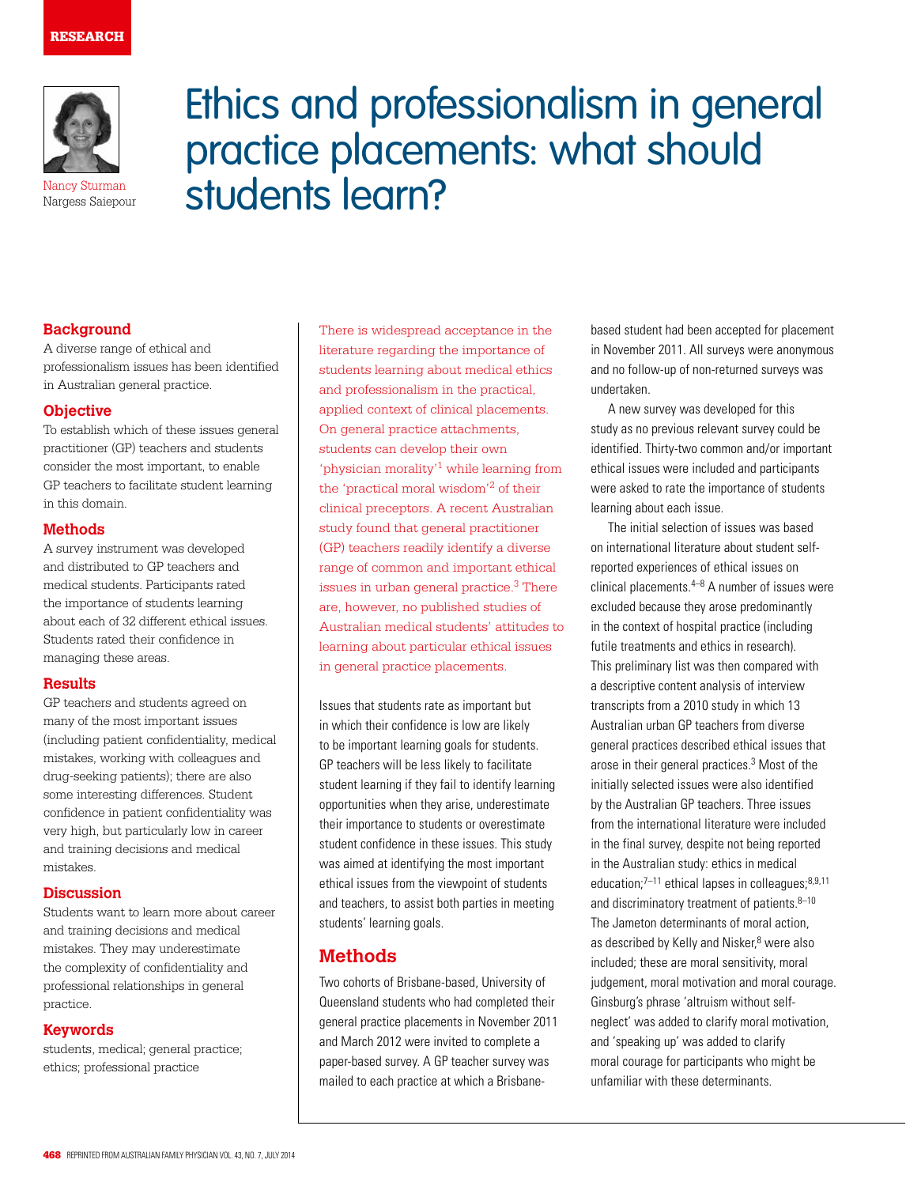

Nargess Saiepour

Ethics and professionalism in general practice placements: what should Nancy Sturman students learn?

## **Background**

A diverse range of ethical and professionalism issues has been identified in Australian general practice.

## **Objective**

To establish which of these issues general practitioner (GP) teachers and students consider the most important, to enable GP teachers to facilitate student learning in this domain.

#### **Methods**

A survey instrument was developed and distributed to GP teachers and medical students. Participants rated the importance of students learning about each of 32 different ethical issues. Students rated their confidence in managing these areas.

#### **Results**

GP teachers and students agreed on many of the most important issues (including patient confidentiality, medical mistakes, working with colleagues and drug-seeking patients); there are also some interesting differences. Student confidence in patient confidentiality was very high, but particularly low in career and training decisions and medical mistakes.

#### **Discussion**

Students want to learn more about career and training decisions and medical mistakes. They may underestimate the complexity of confidentiality and professional relationships in general practice.

## **Keywords**

students, medical; general practice; ethics; professional practice

There is widespread acceptance in the literature regarding the importance of students learning about medical ethics and professionalism in the practical, applied context of clinical placements. On general practice attachments, students can develop their own 'physician morality'1 while learning from the 'practical moral wisdom'2 of their clinical preceptors. A recent Australian study found that general practitioner (GP) teachers readily identify a diverse range of common and important ethical issues in urban general practice.<sup>3</sup> There are, however, no published studies of Australian medical students' attitudes to learning about particular ethical issues in general practice placements.

Issues that students rate as important but in which their confidence is low are likely to be important learning goals for students. GP teachers will be less likely to facilitate student learning if they fail to identify learning opportunities when they arise, underestimate their importance to students or overestimate student confidence in these issues. This study was aimed at identifying the most important ethical issues from the viewpoint of students and teachers, to assist both parties in meeting students' learning goals.

## **Methods**

Two cohorts of Brisbane-based, University of Queensland students who had completed their general practice placements in November 2011 and March 2012 were invited to complete a paper-based survey. A GP teacher survey was mailed to each practice at which a Brisbanebased student had been accepted for placement in November 2011. All surveys were anonymous and no follow-up of non-returned surveys was undertaken.

A new survey was developed for this study as no previous relevant survey could be identified. Thirty-two common and/or important ethical issues were included and participants were asked to rate the importance of students learning about each issue.

The initial selection of issues was based on international literature about student selfreported experiences of ethical issues on clinical placements. $4-8$  A number of issues were excluded because they arose predominantly in the context of hospital practice (including futile treatments and ethics in research). This preliminary list was then compared with a descriptive content analysis of interview transcripts from a 2010 study in which 13 Australian urban GP teachers from diverse general practices described ethical issues that arose in their general practices.3 Most of the initially selected issues were also identified by the Australian GP teachers. Three issues from the international literature were included in the final survey, despite not being reported in the Australian study: ethics in medical education; $7-11$  ethical lapses in colleagues; $8,9,11$ and discriminatory treatment of patients. $8-10$ The Jameton determinants of moral action, as described by Kelly and Nisker,<sup>8</sup> were also included; these are moral sensitivity, moral judgement, moral motivation and moral courage. Ginsburg's phrase 'altruism without selfneglect' was added to clarify moral motivation, and 'speaking up' was added to clarify moral courage for participants who might be unfamiliar with these determinants.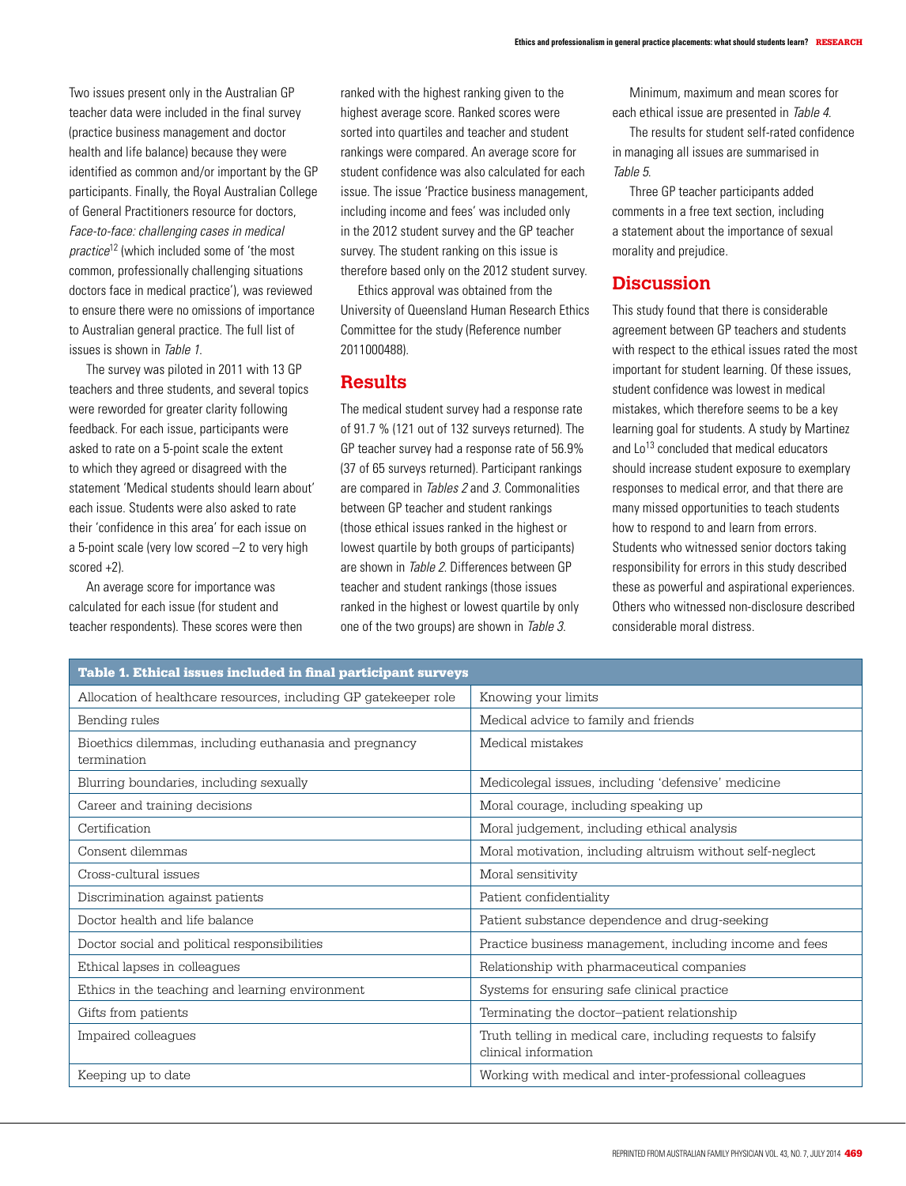Two issues present only in the Australian GP teacher data were included in the final survey (practice business management and doctor health and life balance) because they were identified as common and/or important by the GP participants. Finally, the Royal Australian College of General Practitioners resource for doctors, Face-to-face: challenging cases in medical practice<sup>12</sup> (which included some of 'the most common, professionally challenging situations doctors face in medical practice'), was reviewed to ensure there were no omissions of importance to Australian general practice. The full list of issues is shown in Table 1.

The survey was piloted in 2011 with 13 GP teachers and three students, and several topics were reworded for greater clarity following feedback. For each issue, participants were asked to rate on a 5-point scale the extent to which they agreed or disagreed with the statement 'Medical students should learn about' each issue. Students were also asked to rate their 'confidence in this area' for each issue on a 5-point scale (very low scored –2 to very high scored +2).

An average score for importance was calculated for each issue (for student and teacher respondents). These scores were then ranked with the highest ranking given to the highest average score. Ranked scores were sorted into quartiles and teacher and student rankings were compared. An average score for student confidence was also calculated for each issue. The issue 'Practice business management, including income and fees' was included only in the 2012 student survey and the GP teacher survey. The student ranking on this issue is therefore based only on the 2012 student survey.

Ethics approval was obtained from the University of Queensland Human Research Ethics Committee for the study (Reference number 2011000488).

## **Results**

The medical student survey had a response rate of 91.7 % (121 out of 132 surveys returned). The GP teacher survey had a response rate of 56.9% (37 of 65 surveys returned). Participant rankings are compared in Tables 2 and 3. Commonalities between GP teacher and student rankings (those ethical issues ranked in the highest or lowest quartile by both groups of participants) are shown in Table 2. Differences between GP teacher and student rankings (those issues ranked in the highest or lowest quartile by only one of the two groups) are shown in Table 3.

Minimum, maximum and mean scores for each ethical issue are presented in Table 4.

The results for student self-rated confidence in managing all issues are summarised in Table 5.

Three GP teacher participants added comments in a free text section, including a statement about the importance of sexual morality and prejudice.

## **Discussion**

This study found that there is considerable agreement between GP teachers and students with respect to the ethical issues rated the most important for student learning. Of these issues, student confidence was lowest in medical mistakes, which therefore seems to be a key learning goal for students. A study by Martinez and  $Lo^{13}$  concluded that medical educators should increase student exposure to exemplary responses to medical error, and that there are many missed opportunities to teach students how to respond to and learn from errors. Students who witnessed senior doctors taking responsibility for errors in this study described these as powerful and aspirational experiences. Others who witnessed non-disclosure described considerable moral distress.

| Table 1. Ethical issues included in final participant surveys         |                                                                                      |  |  |  |  |  |
|-----------------------------------------------------------------------|--------------------------------------------------------------------------------------|--|--|--|--|--|
| Allocation of healthcare resources, including GP gatekeeper role      | Knowing your limits                                                                  |  |  |  |  |  |
| Bending rules                                                         | Medical advice to family and friends                                                 |  |  |  |  |  |
| Bioethics dilemmas, including euthanasia and pregnancy<br>termination | Medical mistakes                                                                     |  |  |  |  |  |
| Blurring boundaries, including sexually                               | Medicolegal issues, including 'defensive' medicine                                   |  |  |  |  |  |
| Career and training decisions                                         | Moral courage, including speaking up                                                 |  |  |  |  |  |
| Certification                                                         | Moral judgement, including ethical analysis                                          |  |  |  |  |  |
| Consent dilemmas                                                      | Moral motivation, including altruism without self-neglect                            |  |  |  |  |  |
| Cross-cultural issues                                                 | Moral sensitivity                                                                    |  |  |  |  |  |
| Discrimination against patients                                       | Patient confidentiality                                                              |  |  |  |  |  |
| Doctor health and life balance                                        | Patient substance dependence and drug-seeking                                        |  |  |  |  |  |
| Doctor social and political responsibilities                          | Practice business management, including income and fees                              |  |  |  |  |  |
| Ethical lapses in colleagues                                          | Relationship with pharmaceutical companies                                           |  |  |  |  |  |
| Ethics in the teaching and learning environment                       | Systems for ensuring safe clinical practice                                          |  |  |  |  |  |
| Gifts from patients                                                   | Terminating the doctor-patient relationship                                          |  |  |  |  |  |
| Impaired colleagues                                                   | Truth telling in medical care, including requests to falsify<br>clinical information |  |  |  |  |  |
| Keeping up to date                                                    | Working with medical and inter-professional colleagues                               |  |  |  |  |  |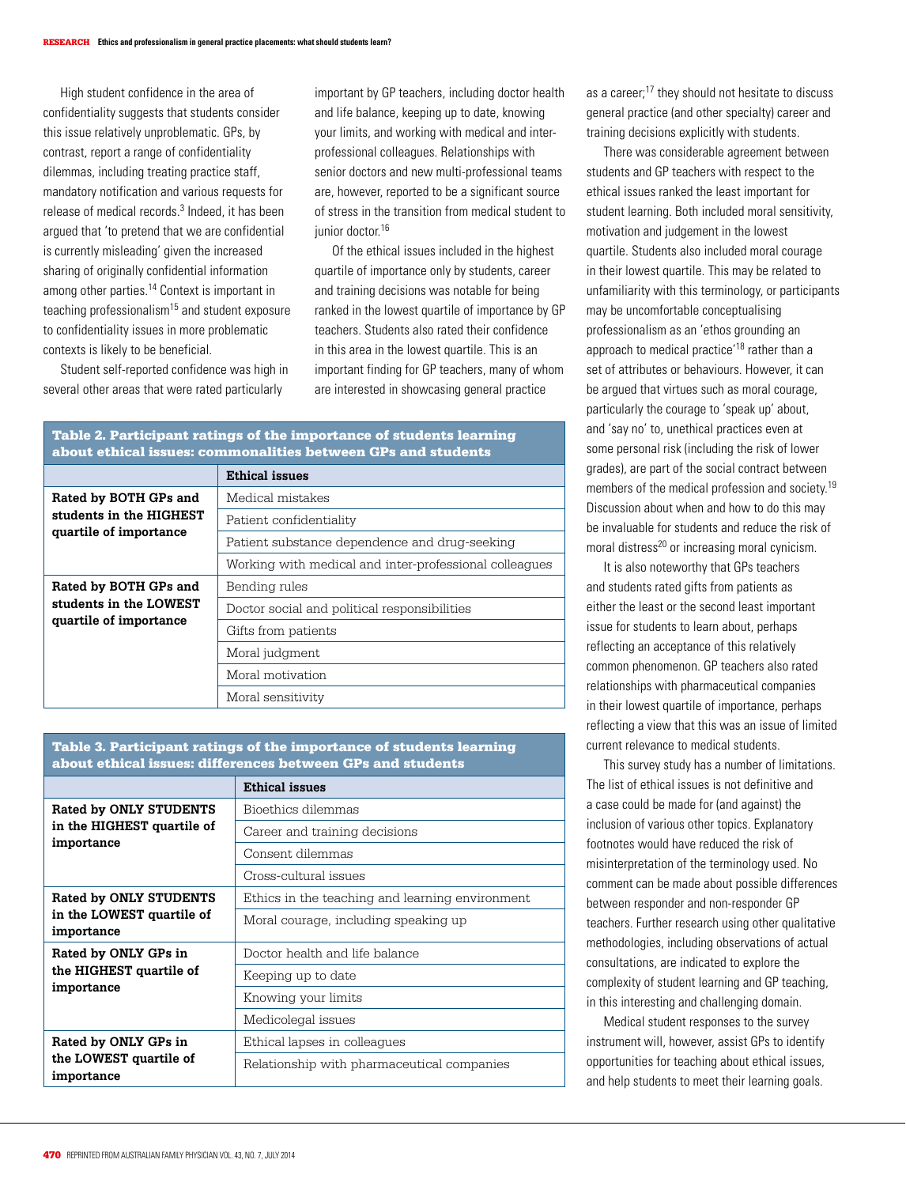High student confidence in the area of confidentiality suggests that students consider this issue relatively unproblematic. GPs, by contrast, report a range of confidentiality dilemmas, including treating practice staff, mandatory notification and various requests for release of medical records.<sup>3</sup> Indeed, it has been argued that 'to pretend that we are confidential is currently misleading' given the increased sharing of originally confidential information among other parties.14 Context is important in teaching professionalism15 and student exposure to confidentiality issues in more problematic contexts is likely to be beneficial.

Student self-reported confidence was high in several other areas that were rated particularly

important by GP teachers, including doctor health and life balance, keeping up to date, knowing your limits, and working with medical and interprofessional colleagues. Relationships with senior doctors and new multi-professional teams are, however, reported to be a significant source of stress in the transition from medical student to junior doctor.<sup>16</sup>

Of the ethical issues included in the highest quartile of importance only by students, career and training decisions was notable for being ranked in the lowest quartile of importance by GP teachers. Students also rated their confidence in this area in the lowest quartile. This is an important finding for GP teachers, many of whom are interested in showcasing general practice

#### Table 2. Participant ratings of the importance of students learning about ethical issues: commonalities between GPs and students

|                                                                            | <b>Ethical issues</b>                                  |  |  |  |
|----------------------------------------------------------------------------|--------------------------------------------------------|--|--|--|
| Rated by BOTH GPs and<br>students in the HIGHEST<br>quartile of importance | Medical mistakes                                       |  |  |  |
|                                                                            | Patient confidentiality                                |  |  |  |
|                                                                            | Patient substance dependence and drug-seeking          |  |  |  |
|                                                                            | Working with medical and inter-professional colleagues |  |  |  |
| Rated by BOTH GPs and                                                      | Bending rules                                          |  |  |  |
| students in the LOWEST<br>quartile of importance                           | Doctor social and political responsibilities           |  |  |  |
|                                                                            | Gifts from patients                                    |  |  |  |
|                                                                            | Moral judgment                                         |  |  |  |
|                                                                            | Moral motivation                                       |  |  |  |
|                                                                            | Moral sensitivity                                      |  |  |  |

#### Table 3. Participant ratings of the importance of students learning about ethical issues: differences between GPs and students

|                                                                    | <b>Ethical issues</b>                           |  |  |  |
|--------------------------------------------------------------------|-------------------------------------------------|--|--|--|
| Rated by ONLY STUDENTS<br>in the HIGHEST quartile of<br>importance | Bioethics dilemmas                              |  |  |  |
|                                                                    | Career and training decisions                   |  |  |  |
|                                                                    | Consent dilemmas                                |  |  |  |
|                                                                    | Cross-cultural issues                           |  |  |  |
| Rated by ONLY STUDENTS                                             | Ethics in the teaching and learning environment |  |  |  |
| in the LOWEST quartile of<br>importance                            | Moral courage, including speaking up            |  |  |  |
| Rated by ONLY GPs in<br>the HIGHEST quartile of<br>importance      | Doctor health and life balance                  |  |  |  |
|                                                                    | Keeping up to date                              |  |  |  |
|                                                                    | Knowing your limits                             |  |  |  |
|                                                                    | Medicolegal issues                              |  |  |  |
| Rated by ONLY GPs in                                               | Ethical lapses in colleagues                    |  |  |  |
| the LOWEST quartile of<br>importance                               | Relationship with pharmaceutical companies      |  |  |  |

as a career:<sup>17</sup> they should not hesitate to discuss general practice (and other specialty) career and training decisions explicitly with students.

There was considerable agreement between students and GP teachers with respect to the ethical issues ranked the least important for student learning. Both included moral sensitivity, motivation and judgement in the lowest quartile. Students also included moral courage in their lowest quartile. This may be related to unfamiliarity with this terminology, or participants may be uncomfortable conceptualising professionalism as an 'ethos grounding an approach to medical practice'18 rather than a set of attributes or behaviours. However, it can be argued that virtues such as moral courage, particularly the courage to 'speak up' about, and 'say no' to, unethical practices even at some personal risk (including the risk of lower grades), are part of the social contract between members of the medical profession and society.<sup>19</sup> Discussion about when and how to do this may be invaluable for students and reduce the risk of moral distress<sup>20</sup> or increasing moral cynicism.

It is also noteworthy that GPs teachers and students rated gifts from patients as either the least or the second least important issue for students to learn about, perhaps reflecting an acceptance of this relatively common phenomenon. GP teachers also rated relationships with pharmaceutical companies in their lowest quartile of importance, perhaps reflecting a view that this was an issue of limited current relevance to medical students.

This survey study has a number of limitations. The list of ethical issues is not definitive and a case could be made for (and against) the inclusion of various other topics. Explanatory footnotes would have reduced the risk of misinterpretation of the terminology used. No comment can be made about possible differences between responder and non-responder GP teachers. Further research using other qualitative methodologies, including observations of actual consultations, are indicated to explore the complexity of student learning and GP teaching, in this interesting and challenging domain.

Medical student responses to the survey instrument will, however, assist GPs to identify opportunities for teaching about ethical issues, and help students to meet their learning goals.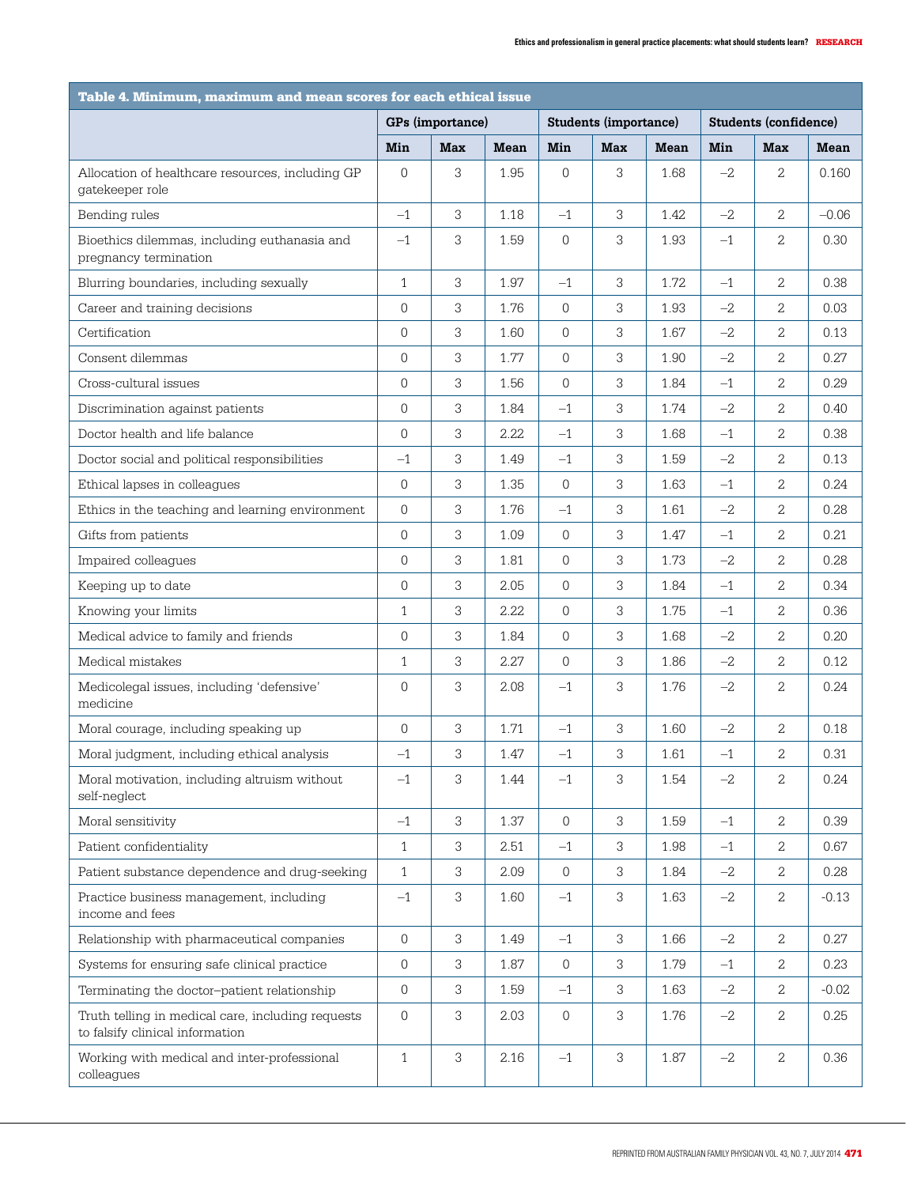| Table 4. Minimum, maximum and mean scores for each ethical issue                     |                  |            |             |                  |                              |             |                       |                |         |
|--------------------------------------------------------------------------------------|------------------|------------|-------------|------------------|------------------------------|-------------|-----------------------|----------------|---------|
|                                                                                      | GPs (importance) |            |             |                  | <b>Students (importance)</b> |             | Students (confidence) |                |         |
|                                                                                      | Min              | <b>Max</b> | <b>Mean</b> | Min              | <b>Max</b>                   | <b>Mean</b> | Min                   | <b>Max</b>     | Mean    |
| Allocation of healthcare resources, including GP<br>gatekeeper role                  | $\overline{0}$   | 3          | 1.95        | $\overline{0}$   | 3                            | 1.68        | $-2$                  | $\overline{2}$ | 0.160   |
| Bending rules                                                                        | $-1$             | 3          | 1.18        | $-1$             | 3                            | 1.42        | $-2$                  | 2              | $-0.06$ |
| Bioethics dilemmas, including euthanasia and<br>pregnancy termination                | $-1$             | 3          | 1.59        | $\overline{0}$   | 3                            | 1.93        | $-1$                  | 2              | 0.30    |
| Blurring boundaries, including sexually                                              | $\mathbf{1}$     | 3          | 1.97        | $-1$             | 3                            | 1.72        | $-1$                  | $\overline{2}$ | 0.38    |
| Career and training decisions                                                        | $\overline{0}$   | 3          | 1.76        | $\overline{0}$   | 3                            | 1.93        | $-2$                  | 2              | 0.03    |
| Certification                                                                        | $\overline{0}$   | 3          | 1.60        | $\mathbf 0$      | 3                            | 1.67        | $-2$                  | 2              | 0.13    |
| Consent dilemmas                                                                     | $\Omega$         | 3          | 1.77        | $\Omega$         | 3                            | 1.90        | $-2$                  | 2              | 0.27    |
| Cross-cultural issues                                                                | $\Omega$         | 3          | 1.56        | $\overline{0}$   | 3                            | 1.84        | $-1$                  | 2              | 0.29    |
| Discrimination against patients                                                      | $\overline{0}$   | 3          | 1.84        | $-1$             | 3                            | 1.74        | $-2$                  | 2              | 0.40    |
| Doctor health and life balance                                                       | $\overline{0}$   | 3          | 2.22        | $-1$             | 3                            | 1.68        | $-1$                  | 2              | 0.38    |
| Doctor social and political responsibilities                                         | $-1$             | 3          | 1.49        | $-1$             | 3                            | 1.59        | $-2$                  | 2              | 0.13    |
| Ethical lapses in colleagues                                                         | $\Omega$         | 3          | 1.35        | $\overline{0}$   | 3                            | 1.63        | $-1$                  | 2              | 0.24    |
| Ethics in the teaching and learning environment                                      | $\overline{0}$   | 3          | 1.76        | $-1$             | 3                            | 1.61        | $-2$                  | 2              | 0.28    |
| Gifts from patients                                                                  | $\overline{0}$   | 3          | 1.09        | $\overline{0}$   | 3                            | 1.47        | $-1$                  | 2              | 0.21    |
| Impaired colleagues                                                                  | $\overline{0}$   | 3          | 1.81        | $\overline{0}$   | 3                            | 1.73        | $-2$                  | 2              | 0.28    |
| Keeping up to date                                                                   | 0                | 3          | 2.05        | $\overline{0}$   | 3                            | 1.84        | $-1$                  | 2              | 0.34    |
| Knowing your limits                                                                  | $\mathbf{1}$     | 3          | 2.22        | $\Omega$         | 3                            | 1.75        | $-1$                  | 2              | 0.36    |
| Medical advice to family and friends                                                 | $\overline{0}$   | 3          | 1.84        | $\overline{0}$   | 3                            | 1.68        | $-2$                  | 2              | 0.20    |
| Medical mistakes                                                                     | $\mathbf{1}$     | 3          | 2.27        | $\overline{0}$   | 3                            | 1.86        | $-2$                  | 2              | 0.12    |
| Medicolegal issues, including 'defensive'<br>medicine                                | $\overline{0}$   | 3          | 2.08        | $-1$             | 3                            | 1.76        | $-2$                  | 2              | 0.24    |
| Moral courage, including speaking up                                                 | $\Omega$         | 3          | 1.71        | $-1$             | 3                            | 1.60        | $-2$                  | $\overline{2}$ | 0.18    |
| Moral judgment, including ethical analysis                                           | $-1$             | 3          | 1.47        | $-1$             | 3                            | 1.61        | $-1$                  | 2              | 0.31    |
| Moral motivation, including altruism without<br>self-neglect                         | $-1$             | 3          | 1.44        | $-1$             | 3                            | 1.54        | $-2$                  | 2              | 0.24    |
| Moral sensitivity                                                                    | $-1$             | 3          | 1.37        | $\overline{0}$   | 3                            | 1.59        | $-1$                  | $\overline{2}$ | 0.39    |
| Patient confidentiality                                                              | $\mathbf{1}$     | 3          | 2.51        | $-1$             | 3                            | 1.98        | $-1$                  | 2              | 0.67    |
| Patient substance dependence and drug-seeking                                        | $\mathbf{1}$     | 3          | 2.09        | $\overline{0}$   | 3                            | 1.84        | $-2$                  | 2              | 0.28    |
| Practice business management, including<br>income and fees                           | $-1$             | 3          | 1.60        | $-1$             | $\sqrt{3}$                   | 1.63        | $-2$                  | $\mathbf{2}$   | $-0.13$ |
| Relationship with pharmaceutical companies                                           | $\overline{0}$   | 3          | 1.49        | $-1$             | 3                            | 1.66        | $-2$                  | $\overline{2}$ | 0.27    |
| Systems for ensuring safe clinical practice                                          | $\mathbf 0$      | 3          | 1.87        | $\boldsymbol{0}$ | 3                            | 1.79        | $-1$                  | 2              | 0.23    |
| Terminating the doctor-patient relationship                                          | 0                | 3          | 1.59        | $-1$             | 3                            | 1.63        | $-2$                  | 2              | $-0.02$ |
| Truth telling in medical care, including requests<br>to falsify clinical information | 0                | 3          | 2.03        | $\overline{0}$   | 3                            | 1.76        | $-2$                  | $\mathbf{2}$   | 0.25    |
| Working with medical and inter-professional<br>colleagues                            | $\mathbf{1}$     | 3          | 2.16        | $-1$             | 3                            | 1.87        | $-2$                  | $\mathbf{2}$   | 0.36    |